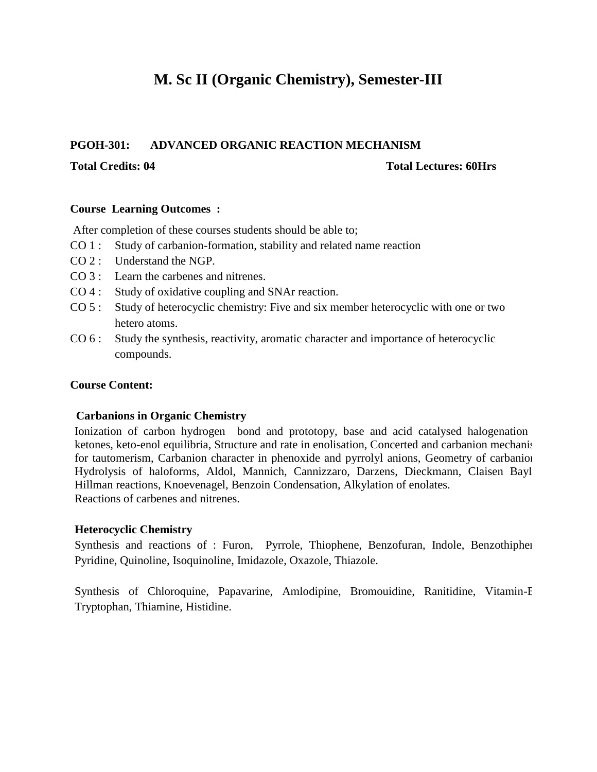# **M. Sc II (Organic Chemistry), Semester-III**

#### **PGOH-301: ADVANCED ORGANIC REACTION MECHANISM**

#### **Total Credits: 04 Total Lectures: 60Hrs**

#### **Course Learning Outcomes :**

After completion of these courses students should be able to;

- CO 1 : Study of carbanion-formation, stability and related name reaction
- CO 2 : Understand the NGP.
- CO 3 : Learn the carbenes and nitrenes.
- CO 4 : Study of oxidative coupling and SNAr reaction.
- CO 5 : Study of heterocyclic chemistry: Five and six member heterocyclic with one or two hetero atoms.
- CO 6 : Study the synthesis, reactivity, aromatic character and importance of heterocyclic compounds.

#### **Course Content:**

#### **Carbanions in Organic Chemistry**

Ionization of carbon hydrogen bond and prototopy, base and acid catalysed halogenation ketones, keto-enol equilibria, Structure and rate in enolisation, Concerted and carbanion mechanis for tautomerism, Carbanion character in phenoxide and pyrrolyl anions, Geometry of carbanion Hydrolysis of haloforms, Aldol, Mannich, Cannizzaro, Darzens, Dieckmann, Claisen Bayl Hillman reactions, Knoevenagel, Benzoin Condensation, Alkylation of enolates. Reactions of carbenes and nitrenes.

#### **Heterocyclic Chemistry**

Synthesis and reactions of : Furon, Pyrrole, Thiophene, Benzofuran, Indole, Benzothiphen Pyridine, Quinoline, Isoquinoline, Imidazole, Oxazole, Thiazole.

Synthesis of Chloroquine, Papavarine, Amlodipine, Bromouidine, Ranitidine, Vitamin-F Tryptophan, Thiamine, Histidine.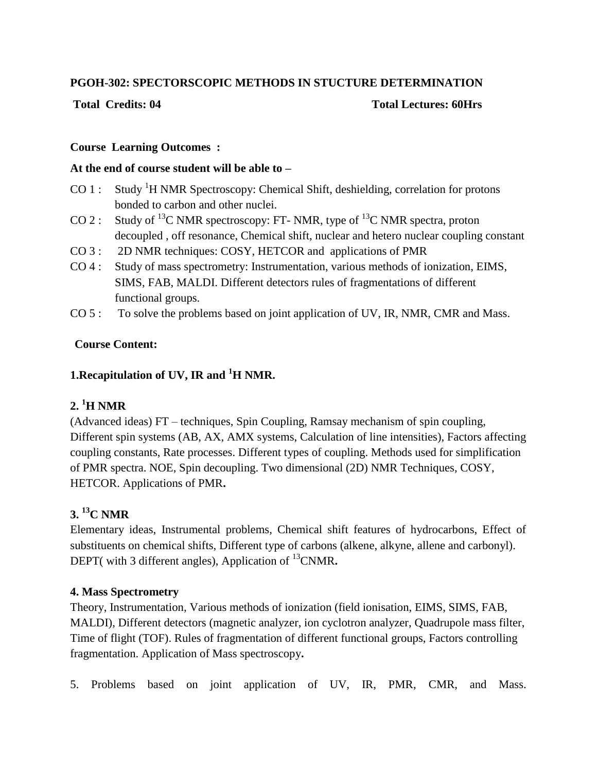# **PGOH-302: SPECTORSCOPIC METHODS IN STUCTURE DETERMINATION**

### **Total Credits: 04 Total Lectures: 60Hrs**

# **Course Learning Outcomes :**

# **At the end of course student will be able to –**

- $CO 1$ : Study <sup>1</sup>H NMR Spectroscopy: Chemical Shift, deshielding, correlation for protons bonded to carbon and other nuclei.
- CO 2 : Study of <sup>13</sup>C NMR spectroscopy: FT- NMR, type of <sup>13</sup>C NMR spectra, proton decoupled , off resonance, Chemical shift, nuclear and hetero nuclear coupling constant
- CO 3 : 2D NMR techniques: COSY, HETCOR and applications of PMR
- CO 4 : Study of mass spectrometry: Instrumentation, various methods of ionization, EIMS, SIMS, FAB, MALDI. Different detectors rules of fragmentations of different functional groups.
- CO 5 : To solve the problems based on joint application of UV, IR, NMR, CMR and Mass.

# **Course Content:**

# **1.Recapitulation of UV, IR and <sup>1</sup>H NMR.**

# **2. <sup>1</sup>H NMR**

(Advanced ideas) FT – techniques, Spin Coupling, Ramsay mechanism of spin coupling, Different spin systems (AB, AX, AMX systems, Calculation of line intensities), Factors affecting coupling constants, Rate processes. Different types of coupling. Methods used for simplification of PMR spectra. NOE, Spin decoupling. Two dimensional (2D) NMR Techniques, COSY, HETCOR. Applications of PMR**.** 

# **3. <sup>13</sup>C NMR**

Elementary ideas, Instrumental problems, Chemical shift features of hydrocarbons, Effect of substituents on chemical shifts, Different type of carbons (alkene, alkyne, allene and carbonyl). DEPT( with 3 different angles), Application of <sup>13</sup>CNMR.

# **4. Mass Spectrometry**

Theory, Instrumentation, Various methods of ionization (field ionisation, EIMS, SIMS, FAB, MALDI), Different detectors (magnetic analyzer, ion cyclotron analyzer, Quadrupole mass filter, Time of flight (TOF). Rules of fragmentation of different functional groups, Factors controlling fragmentation. Application of Mass spectroscopy**.** 

5. Problems based on joint application of UV, IR, PMR, CMR, and Mass.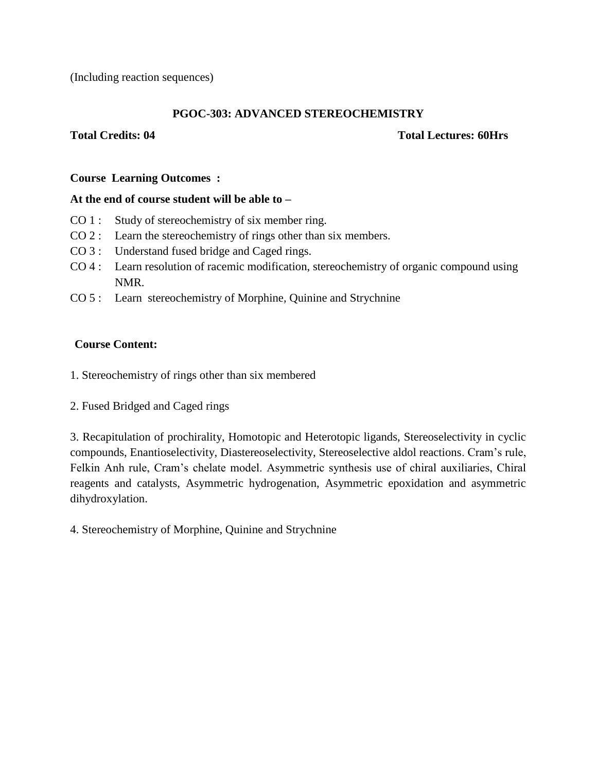(Including reaction sequences)

### **PGOC-303: ADVANCED STEREOCHEMISTRY**

#### **Total Credits: 04 Total Lectures: 60Hrs**

#### **Course Learning Outcomes :**

### **At the end of course student will be able to –**

- CO 1 : Study of stereochemistry of six member ring.
- CO 2 : Learn the stereochemistry of rings other than six members.
- CO 3 : Understand fused bridge and Caged rings.
- CO 4 : Learn resolution of racemic modification, stereochemistry of organic compound using NMR.
- CO 5 : Learn stereochemistry of Morphine, Quinine and Strychnine

### **Course Content:**

- 1. Stereochemistry of rings other than six membered
- 2. Fused Bridged and Caged rings

3. Recapitulation of prochirality, Homotopic and Heterotopic ligands, Stereoselectivity in cyclic compounds, Enantioselectivity, Diastereoselectivity, Stereoselective aldol reactions. Cram's rule, Felkin Anh rule, Cram's chelate model. Asymmetric synthesis use of chiral auxiliaries, Chiral reagents and catalysts, Asymmetric hydrogenation, Asymmetric epoxidation and asymmetric dihydroxylation.

4. Stereochemistry of Morphine, Quinine and Strychnine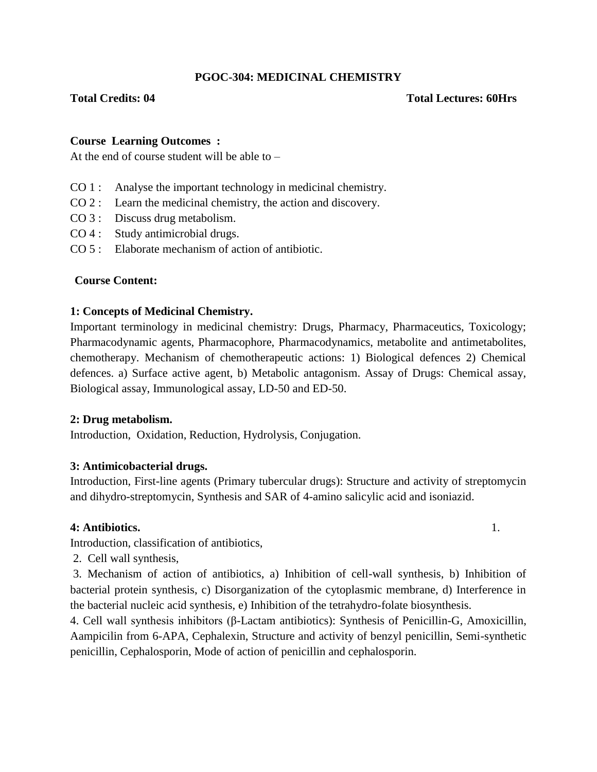### **PGOC-304: MEDICINAL CHEMISTRY**

#### **Total Credits: 04 Total Lectures: 60Hrs**

#### **Course Learning Outcomes :**

At the end of course student will be able to –

- CO 1 : Analyse the important technology in medicinal chemistry.
- CO 2 : Learn the medicinal chemistry, the action and discovery.
- CO 3 : Discuss drug metabolism.
- CO 4 : Study antimicrobial drugs.
- CO 5 : Elaborate mechanism of action of antibiotic.

#### **Course Content:**

### **1: Concepts of Medicinal Chemistry.**

Important terminology in medicinal chemistry: Drugs, Pharmacy, Pharmaceutics, Toxicology; Pharmacodynamic agents, Pharmacophore, Pharmacodynamics, metabolite and antimetabolites, chemotherapy. Mechanism of chemotherapeutic actions: 1) Biological defences 2) Chemical defences. a) Surface active agent, b) Metabolic antagonism. Assay of Drugs: Chemical assay, Biological assay, Immunological assay, LD-50 and ED-50.

#### **2: Drug metabolism.**

Introduction, Oxidation, Reduction, Hydrolysis, Conjugation.

# **3: Antimicobacterial drugs.**

Introduction, First-line agents (Primary tubercular drugs): Structure and activity of streptomycin and dihydro-streptomycin, Synthesis and SAR of 4-amino salicylic acid and isoniazid.

### **4: Antibiotics.** 1.

Introduction, classification of antibiotics,

2. Cell wall synthesis,

3. Mechanism of action of antibiotics, a) Inhibition of cell-wall synthesis, b) Inhibition of bacterial protein synthesis, c) Disorganization of the cytoplasmic membrane, d) Interference in the bacterial nucleic acid synthesis, e) Inhibition of the tetrahydro-folate biosynthesis.

4. Cell wall synthesis inhibitors (β-Lactam antibiotics): Synthesis of Penicillin-G, Amoxicillin, Aampicilin from 6-APA, Cephalexin, Structure and activity of benzyl penicillin, Semi-synthetic penicillin, Cephalosporin, Mode of action of penicillin and cephalosporin.